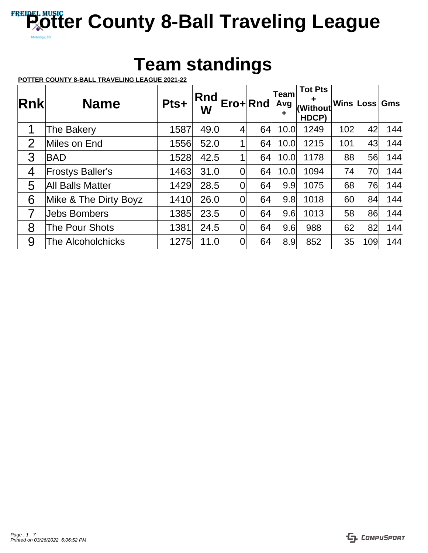## **Team standings**

**POTTER COUNTY 8-BALL TRAVELING LEAGUE 2021-22**

| Rnk            | <b>Name</b>             | Pts+ | Rnd<br>W |                | Ero+Rnd | <b>Team</b><br>Avg<br>٠ | <b>Tot Pts</b><br>٠<br>(Without<br>HDCP) |     | Wins Loss | Gms |
|----------------|-------------------------|------|----------|----------------|---------|-------------------------|------------------------------------------|-----|-----------|-----|
| 1              | The Bakery              | 1587 | 49.0     | $\overline{4}$ | 64      | 10.0                    | 1249                                     | 102 | 42        | 144 |
| $\overline{2}$ | Miles on End            | 1556 | 52.0     |                | 64      | 10.0                    | 1215                                     | 101 | 43        | 144 |
| 3              | <b>BAD</b>              | 1528 | 42.5     | 4              | 64      | 10.0                    | 1178                                     | 88  | 56        | 144 |
| 4              | <b>Frostys Baller's</b> | 1463 | 31.0     | 0              | 64      | 10.0                    | 1094                                     | 74  | 70        | 144 |
| 5              | <b>All Balls Matter</b> | 1429 | 28.5     | 0              | 64      | 9.9                     | 1075                                     | 68  | 76        | 144 |
| 6              | Mike & The Dirty Boyz   | 1410 | 26.0     | 0              | 64      | 9.8                     | 1018                                     | 60  | 84        | 144 |
| 7              | <b>Jebs Bombers</b>     | 1385 | 23.5     | $\overline{0}$ | 64      | 9.6                     | 1013                                     | 58  | 86        | 144 |
| 8              | <b>The Pour Shots</b>   | 1381 | 24.5     | 0              | 64      | 9.6                     | 988                                      | 62  | 82        | 144 |
| 9              | The Alcoholchicks       | 1275 | 11.0     | 0              | 64      | 8.9                     | 852                                      | 35  | 109       | 144 |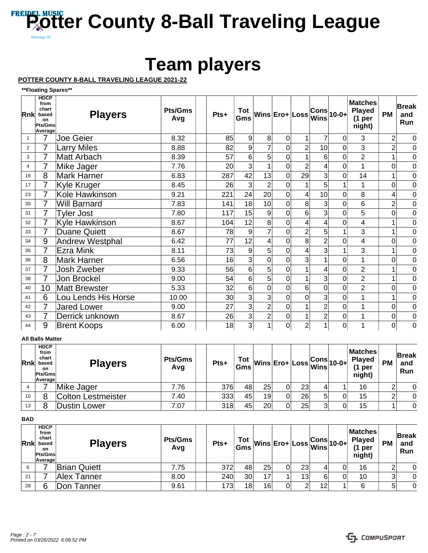## **Team players**

**POTTER COUNTY 8-BALL TRAVELING LEAGUE 2021-22**

**\*\*Floating Spares\*\***

| Rnk            | <b>HDCP</b><br>from<br>chart<br>based<br>on<br><b>Pts/Gms</b><br>Average | <b>Players</b>         | <b>Pts/Gms</b><br>Avg | Pts+ | Tot<br>Gms |                 | $\overline{ \mathsf{Wins} }$ Ero+ $\overline{ \mathsf{Loss} }$ Wins |                |                | $ Cons _{10-0+}$ | <b>Matches</b><br><b>Played</b><br>(1 <sub>per</sub> )<br>night) | <b>PM</b>      | <b>Break</b><br>and<br>Run |
|----------------|--------------------------------------------------------------------------|------------------------|-----------------------|------|------------|-----------------|---------------------------------------------------------------------|----------------|----------------|------------------|------------------------------------------------------------------|----------------|----------------------------|
| 1              | 7                                                                        | <b>Joe Geier</b>       | 8.32                  | 85   | 9          | 8               | $\mathbf 0$                                                         | 1              | $\overline{7}$ | $\Omega$         | 3                                                                | $\overline{2}$ | $\overline{0}$             |
| $\overline{2}$ | 7                                                                        | <b>Larry Miles</b>     | 8.88                  | 82   | 9          |                 | $\mathbf 0$                                                         | $\overline{2}$ | 10             | $\Omega$         | 3                                                                | $\overline{2}$ | $\overline{0}$             |
| 3              |                                                                          | <b>Matt Arbach</b>     | 8.39                  | 57   | 6          | 5               | $\mathbf 0$                                                         |                | 6              | 0                | $\overline{2}$                                                   | 1              | $\overline{0}$             |
| 4              | 7                                                                        | Mike Jager             | 7.76                  | 20   | 3          |                 | $\mathbf 0$                                                         | $\overline{2}$ | 4              | 0                | 1                                                                | $\overline{0}$ | $\overline{0}$             |
| 16             | 8                                                                        | <b>Mark Harner</b>     | 6.83                  | 287  | 42         | 13              | $\mathbf 0$                                                         | 29             | 3              | 0                | 14                                                               | 1              | $\overline{0}$             |
| 17             | 7                                                                        | Kyle Kruger            | 8.45                  | 26   | 3          | $\overline{2}$  | $\mathbf 0$                                                         |                | 5              | 1                | 1                                                                | $\overline{0}$ | $\overline{0}$             |
| 23             | 7                                                                        | Kole Hawkinson         | 9.21                  | 221  | 24         | 20              | $\overline{0}$                                                      | 4              | 10             | 0                | 8                                                                | 4              | $\overline{0}$             |
| 30             | 7                                                                        | <b>Will Barnard</b>    | 7.83                  | 141  | 18         | 10 <sup>1</sup> | $\overline{0}$                                                      | 8 <sup>1</sup> | 3              | 0                | 6                                                                | $\overline{2}$ | $\overline{0}$             |
| 31             | 7                                                                        | <b>Tyler Jost</b>      | 7.80                  | 117  | 15         | 9               | $\mathbf 0$                                                         | 6              | 3              | 0                | 5                                                                | $\overline{0}$ | $\overline{0}$             |
| 32             | $\overline{7}$                                                           | Kyle Hawkinson         | 8.67                  | 104  | 12         | 8               | $\mathbf 0$                                                         | 4              | 4              | $\Omega$         | 4                                                                | 1              | $\overline{0}$             |
| 33             | 7                                                                        | <b>Duane Quiett</b>    | 8.67                  | 78   | 9          |                 | $\mathbf 0$                                                         | $\overline{2}$ | 5              |                  | 3                                                                | 1              | $\overline{0}$             |
| 34             | 9                                                                        | <b>Andrew Westphal</b> | 6.42                  | 77   | 12         | 4               | 0                                                                   | 8              | 2              | 0                | 4                                                                | 0              | $\overline{0}$             |
| 35             |                                                                          | <b>Ezra Mink</b>       | 8.11                  | 73   | 9          | 5               | $\mathbf 0$                                                         | 4              | 3              |                  | 3                                                                | 1              | $\overline{0}$             |
| 36             | 8                                                                        | <b>Mark Harner</b>     | 6.56                  | 16   | 3          | $\Omega$        | $\overline{0}$                                                      | 3              |                | $\Omega$         | 1                                                                | $\mathbf 0$    | $\overline{0}$             |
| 37             |                                                                          | Josh Zweber            | 9.33                  | 56   | 6          | 5               | $\mathbf 0$                                                         |                | 4              | 0                | $\overline{2}$                                                   | 1              | $\overline{0}$             |
| 38             | 7                                                                        | Jon Brockel            | 9.00                  | 54   | 6          | 5               | $\mathbf 0$                                                         |                | 3              | 0                | $\overline{2}$                                                   | 1              | $\overline{0}$             |
| 40             | 10                                                                       | <b>Matt Brewster</b>   | 5.33                  | 32   | 6          | $\Omega$        | 0                                                                   | 6              | 0              | $\Omega$         | $\overline{2}$                                                   | 0              | $\overline{0}$             |
| 41             | 6                                                                        | Lou Lends His Horse    | 10.00                 | 30   | 3          | 3               | $\mathbf 0$                                                         | $\Omega$       | 3              | $\Omega$         |                                                                  | 1              | $\overline{0}$             |
| 42             |                                                                          | <b>Jared Lower</b>     | 9.00                  | 27   | 3          | $\overline{2}$  | 0                                                                   |                | 2              | $\Omega$         |                                                                  | $\mathbf 0$    | $\overline{0}$             |
| 43             | 7                                                                        | Derrick unknown        | 8.67                  | 26   | 3          | $\overline{2}$  | $\boldsymbol{0}$                                                    |                | 2              | 0                |                                                                  | $\mathbf 0$    | $\overline{0}$             |
| 44             | 9                                                                        | <b>Brent Koops</b>     | 6.00                  | 18   | 3          |                 | 0                                                                   | $\overline{2}$ |                | 0                | 1                                                                | $\overline{0}$ | $\overline{0}$             |

### **All Balls Matter**

| <b>Rnk</b> | <b>HDCP</b><br>from<br>chart<br>based<br>on<br>Pts/Gms<br>∣Average⊺ | <b>Players</b>            | <b>Pts/Gms</b><br>Avg | Pts+ | Tot<br>Gms |    |    |    |   | ___ Wins Ero+ Loss Cons 10-0+  Pr | Matches<br><b>Played</b><br>per<br>night) | <b>PM</b> | <b>Break</b><br>and<br>Run |
|------------|---------------------------------------------------------------------|---------------------------|-----------------------|------|------------|----|----|----|---|-----------------------------------|-------------------------------------------|-----------|----------------------------|
|            |                                                                     | Mike Jager                | 7.76                  | 376  | 48         | 25 | 01 | 23 |   |                                   | 16                                        |           | $\Omega$                   |
| 10         | 8                                                                   | <b>Colton Lestmeister</b> | 7.40                  | 333  | 45         | 19 | 0  | 26 | 5 |                                   | 15                                        |           | $\Omega$                   |
| 13         | 8                                                                   | <b>Dustin Lower</b>       | 7.07                  | 318  | 45         | 20 | 0  | 25 | ⌒ |                                   | 15                                        |           | $\Omega$                   |

**BAD**

| <b>Rnk</b> | <b>HDCP</b><br>from<br>chart<br>based<br><b>on</b><br>Pts/Gms<br>Average | <b>Players</b>      | <b>Pts/Gms</b><br>Avg | Pts+ |                 |    | $\frac{\textsf{Tot}}{\textsf{Gms}}\Big \textsf{Wins}\Big \textsf{Ero+}\Big \textsf{Loss}\Big \textsf{Gons}\Big \textsf{10-0+}\Big $ |    |    | Matches<br><b>Played</b><br>per<br>night) | <b>PM</b> | Break<br>and<br>Run |
|------------|--------------------------------------------------------------------------|---------------------|-----------------------|------|-----------------|----|-------------------------------------------------------------------------------------------------------------------------------------|----|----|-------------------------------------------|-----------|---------------------|
| 6          |                                                                          | <b>Brian Quiett</b> | 7.75                  | 372  | 48              | 25 | 0                                                                                                                                   | 23 |    | 16                                        | ◠         | 0                   |
| 21         |                                                                          | Alex Tanner         | 8.00                  | 240  | 30 <sup>°</sup> |    |                                                                                                                                     | 13 | 61 | 10                                        | 3         | 0                   |
| 28         | 6                                                                        | Don Tanner          | 9.61                  | 173  | 18              | 16 |                                                                                                                                     | ി  | 12 | 6                                         | 5         | 0                   |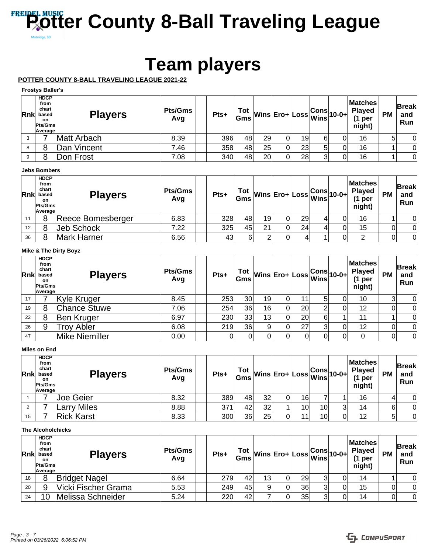## **Team players**

### **POTTER COUNTY 8-BALL TRAVELING LEAGUE 2021-22**

### **Frostys Baller's**

| <b>Rnk</b> | <b>HDCP</b><br>from<br>chart<br>based<br>on<br>Pts/Gms<br>Average | <b>Players</b> | <b>Pts/Gms</b><br>Avg | Pts+ | Tot |    |    |    |    | $\left \frac{\text{Tot}}{\text{Gms}}\middle  \text{Wins} \right $ Ero+ $\left \text{Loss} \right $ Wins $\left 10\text{-}0+\right $ | <b>Matches</b><br><b>Played</b><br>per<br>night) | <b>PM</b> | <b>Break</b><br>and<br>Run |
|------------|-------------------------------------------------------------------|----------------|-----------------------|------|-----|----|----|----|----|-------------------------------------------------------------------------------------------------------------------------------------|--------------------------------------------------|-----------|----------------------------|
|            |                                                                   | Matt Arbach    | 8.39                  | 396  | 48  | 29 | 0  | 19 | 61 |                                                                                                                                     | 16                                               | 5         | 0                          |
| 8          | 8                                                                 | Dan Vincent    | 7.46                  | 358  | 48  | 25 | 01 | 23 | 5  |                                                                                                                                     | 16                                               |           | 0                          |
| 9          |                                                                   | Don Frost      | 7.08                  | 340  | 48  | 20 | 0  | 28 | 3  |                                                                                                                                     | 16                                               |           | 0                          |

### **Jebs Bombers**

| Rnk | <b>HDCP</b><br>from<br>chart<br>based<br><b>on</b><br><b>Pts/Gms</b><br>Average | <b>Players</b>     | <b>Pts/Gms</b><br>Avg | Pts+            |    |    |   |    |   | $\left \frac{\text{Tot}}{\text{Gms}}\middle  \text{Wins} \right $ Ero+ $\left \text{Loss} \right $ $\left \text{Cons} \right $ 10-0+ | <b>Matches</b><br><b>Played</b><br>(1 <sub>per</sub> )<br>night) | <b>PM</b> | <b>Break</b><br>and<br>Run |
|-----|---------------------------------------------------------------------------------|--------------------|-----------------------|-----------------|----|----|---|----|---|--------------------------------------------------------------------------------------------------------------------------------------|------------------------------------------------------------------|-----------|----------------------------|
| 11  | 8                                                                               | Reece Bomesberger  | 6.83                  | 328             | 48 | 19 | 0 | 29 | 4 |                                                                                                                                      | 16                                                               |           | 0                          |
| 12  | 8                                                                               | Jeb Schock         | 7.22                  | 325             | 45 | 21 |   | 24 | 4 |                                                                                                                                      | 15                                                               | 0         | $\Omega$                   |
| 36  | 8                                                                               | <b>Mark Harner</b> | 6.56                  | 43 <sup>1</sup> |    |    |   |    |   |                                                                                                                                      |                                                                  |           | $\overline{0}$             |

### **Mike & The Dirty Boyz**

| <b>Rnk</b> | <b>HDCP</b><br>from<br>chart<br>based<br>on.<br>Pts/Gms<br>Average | <b>Players</b>      | <b>Pts/Gms</b><br>Avg | Pts+ |    |    | $\begin{array}{c} \text{Tot} \\ \text{Gms} \end{array} \text{Wins} \begin{array}{ c c } \text{Ero+} \end{array} \begin{array}{ c c } \text{Loss} & \text{Cons} \\ \text{Wins} & \text{10-0+} \end{array}$ |    |   | Matches <br>Played<br>(1<br>per<br>night) | <b>PM</b> | <b>Break</b><br>and<br>Run |
|------------|--------------------------------------------------------------------|---------------------|-----------------------|------|----|----|-----------------------------------------------------------------------------------------------------------------------------------------------------------------------------------------------------------|----|---|-------------------------------------------|-----------|----------------------------|
| 17         |                                                                    | Kyle Kruger         | 8.45                  | 253  | 30 | 19 | Οl                                                                                                                                                                                                        |    | 5 | 10                                        |           | 0                          |
| 19         | 8                                                                  | <b>Chance Stuwe</b> | 7.06                  | 254  | 36 | 16 | 0                                                                                                                                                                                                         | 20 |   | 12                                        |           | $\Omega$                   |
| 22         | 8                                                                  | Ben Kruger          | 6.97                  | 230  | 33 | 13 | Ωl                                                                                                                                                                                                        | 20 | 6 | 11                                        |           | $\Omega$                   |
| 26         | 9                                                                  | <b>Troy Abler</b>   | 6.08                  | 219  | 36 |    | 0                                                                                                                                                                                                         | 27 | 3 | 12                                        | 0         | $\overline{0}$             |
| 47         |                                                                    | Mike Niemiller      | 0.00                  |      |    |    | 0                                                                                                                                                                                                         | 01 |   | 0                                         |           | $\overline{0}$             |

### **Miles on End**

| <b>Rnk</b> | <b>HDCP</b><br>from<br>chart<br>based<br>on.<br><b>Pts/Gms</b><br>Average | <b>Players</b>     | <b>Pts/Gms</b><br>Avg | Pts+ | Tot |    |   |                 |    | $\begin{vmatrix} \text{Tot} \ \text{Gms} \end{vmatrix}$ Wins $\begin{vmatrix} \text{Ero+} \ \text{Loss} \end{vmatrix}$ $\begin{vmatrix} \text{Cons} \ \text{Wins} \end{vmatrix}$ 10-0+ | <b>Matches</b><br><b>Played</b><br>per<br>night) | <b>PM</b> | Break<br>and<br>Run |
|------------|---------------------------------------------------------------------------|--------------------|-----------------------|------|-----|----|---|-----------------|----|----------------------------------------------------------------------------------------------------------------------------------------------------------------------------------------|--------------------------------------------------|-----------|---------------------|
|            |                                                                           | <b>Joe Geier</b>   | 8.32                  | 389  | 48  | 32 | 0 | 16              |    |                                                                                                                                                                                        | 16                                               |           | 0                   |
|            |                                                                           | <b>Larry Miles</b> | 8.88                  | 371  | 42  | 32 |   | 10              | 10 |                                                                                                                                                                                        | 14                                               | 6         | 0                   |
| 15         |                                                                           | <b>Rick Karst</b>  | 8.33                  | 300  | 36  | 25 | 0 | 11 <sub>1</sub> | 10 |                                                                                                                                                                                        | 12                                               | 5         | 0                   |

### **The Alcoholchicks**

| Rnk | <b>HDCP</b><br>from<br>chart<br>based<br><b>on</b><br><b>Pts/Gms</b><br>Average | <b>Players</b>       | Pts/Gms<br>Avg | Pts+ |                 |    |    |   | $\left \frac{\text{Tot}}{\text{Gms}}\middle  \text{Wins} \right $ Ero+ $\left \text{Loss} \right $ $\left \text{Cons} \right $ 10-0+ | <b>Matches</b><br><b>Played</b><br>per<br>night) | <b>PM</b> | <b>Break</b><br>and<br><b>Run</b> |
|-----|---------------------------------------------------------------------------------|----------------------|----------------|------|-----------------|----|----|---|--------------------------------------------------------------------------------------------------------------------------------------|--------------------------------------------------|-----------|-----------------------------------|
| 18  |                                                                                 | <b>Bridget Nagel</b> | 6.64           | 279  | 42              | 13 | 29 |   |                                                                                                                                      | 14                                               |           | 0                                 |
| 20  |                                                                                 | Vicki Fischer Grama  | 5.53           | 249  | 45              | a  | 36 | 3 |                                                                                                                                      | 15                                               |           | 0                                 |
| 24  | 10                                                                              | Melissa Schneider    | 5.24           | 220  | 42 <sup>1</sup> |    | 35 | 3 |                                                                                                                                      | 14                                               |           | 0                                 |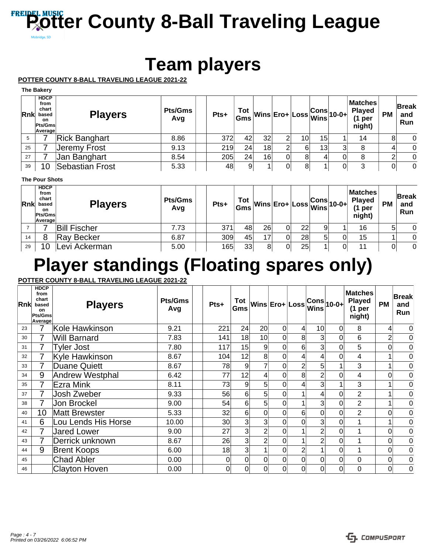## **Team players**

**POTTER COUNTY 8-BALL TRAVELING LEAGUE 2021-22**

| <b>Rnk</b> | <b>HDCP</b><br>from<br>chart<br>based<br>on.<br>Pts/Gms<br><b>Average</b> | <b>Players</b>       | <b>Pts/Gms</b><br>Avg | Pts+ |    |    | $\frac{1}{\sqrt{10}}\int_0^{\pi} Wins \text{ } dt = 0.001 \text{ m/s}$ |    |    | Matches<br><b>Played</b><br>per<br>night) | <b>PM</b> | ∣Break<br>and<br>Run |
|------------|---------------------------------------------------------------------------|----------------------|-----------------------|------|----|----|------------------------------------------------------------------------|----|----|-------------------------------------------|-----------|----------------------|
| 5          |                                                                           | <b>Rick Banghart</b> | 8.86                  | 372  | 42 | 32 | 2                                                                      | 10 | 15 | 14                                        | 8         | 0                    |
| 25         |                                                                           | Jeremy Frost         | 9.13                  | 219  | 24 | 18 | 2                                                                      | 6  | 13 | 8                                         |           | 0                    |
| 27         |                                                                           | Jan Banghart         | 8.54                  | 205  | 24 | 16 | 0                                                                      | 8  |    | 8                                         | ົ         | 0                    |
| 39         | 10 <sup>°</sup>                                                           | Sebastian Frost      | 5.33                  | 48   | 9  |    |                                                                        | 8  |    | 3                                         | 0         | $\Omega$             |

### **The Pour Shots**

| <b>Rnk</b> | <b>HDCP</b><br>from<br>chart<br>based<br>on<br>Pts/Gms<br>Average | <b>Players</b>      | <b>Pts/Gms</b><br>Avg | Pts+ | Tot<br>Gms |    |    |    |   | $\sim$ Wins Ero+ Loss $\stackrel{\textsf{Cons}}{\textsf{Wins}} $ 10-0+ $\stackrel{\textsf{P}}{\textsf{P}}$ | <b>Matches</b><br><b>Played</b><br>$(1$ per<br>night) | <b>PM</b> | <b>Break</b><br>and<br>Run |
|------------|-------------------------------------------------------------------|---------------------|-----------------------|------|------------|----|----|----|---|------------------------------------------------------------------------------------------------------------|-------------------------------------------------------|-----------|----------------------------|
|            |                                                                   | <b>Bill Fischer</b> | 7.73                  | 371  | 48         | 26 | 01 | 22 | 9 |                                                                                                            | 16                                                    | 5         | 0                          |
| 14         | 8                                                                 | Ray Becker          | 6.87                  | 309  | 45         | 17 | 0  | 28 | 5 |                                                                                                            | 15                                                    |           | 0                          |
| 29         | 10                                                                | evi Ackerman        | 5.00                  | 165  | 33         |    | 01 | 25 |   |                                                                                                            | 11                                                    | 01        | 0                          |

## **Player standings (Floating spares only)**

**POTTER COUNTY 8-BALL TRAVELING LEAGUE 2021-22**

| Rnk | <b>HDCP</b><br>from<br>chart<br>based<br>on<br>Pts/Gms<br>Average | <b>Players</b>         | <b>Pts/Gms</b><br>Avg | Pts+            | Gms      |                 | $\int_{-\infty}^{\infty}$ Wins Ero+ Loss $\left  \cdot \right $ |                |                | $\begin{vmatrix} \text{Cons} \\ \text{Wins} \end{vmatrix}$ 10-0+ | <b>Matches</b><br><b>Played</b><br>(1 <sub>per</sub> )<br>night) | <b>PM</b>      | <b>Break</b><br>and<br>Run |
|-----|-------------------------------------------------------------------|------------------------|-----------------------|-----------------|----------|-----------------|-----------------------------------------------------------------|----------------|----------------|------------------------------------------------------------------|------------------------------------------------------------------|----------------|----------------------------|
| 23  |                                                                   | Kole Hawkinson         | 9.21                  | 221             | 24       | 20 <sup>°</sup> | 0                                                               | 4              | 10             | 0                                                                | 8                                                                | 4              | $\overline{0}$             |
| 30  |                                                                   | <b>Will Barnard</b>    | 7.83                  | 141             | 18       | 10 <sup>1</sup> | $\Omega$                                                        | 8              | 3              | 0                                                                | 6                                                                | $\overline{2}$ | $\mathbf 0$                |
| 31  |                                                                   | <b>Tyler Jost</b>      | 7.80                  | 117             | 15       | 9               | 0                                                               | 6              | 3              | 0                                                                | 5                                                                | $\mathbf 0$    | $\mathbf 0$                |
| 32  |                                                                   | Kyle Hawkinson         | 8.67                  | 104             | 12       | 8               | $\Omega$                                                        |                | 4              | 0                                                                | 4                                                                |                | $\mathbf 0$                |
| 33  | 7                                                                 | <b>Duane Quiett</b>    | 8.67                  | 78              | 9        |                 | 0                                                               | $\overline{2}$ | 5              |                                                                  | 3                                                                |                | $\mathbf 0$                |
| 34  | 9                                                                 | <b>Andrew Westphal</b> | 6.42                  | 77              | 12       | 4               | $\Omega$                                                        | 8              | 2              |                                                                  | 4                                                                | $\Omega$       | $\mathbf 0$                |
| 35  | 7                                                                 | Ezra Mink              | 8.11                  | 73              | 9        | 5               | $\Omega$                                                        |                | 3              |                                                                  | 3                                                                |                | $\pmb{0}$                  |
| 37  | 7                                                                 | Josh Zweber            | 9.33                  | 56              | 6        | 5 <sup>1</sup>  | $\Omega$                                                        |                | 4              | 0                                                                | $\overline{2}$                                                   |                | $\overline{0}$             |
| 38  | 7                                                                 | Jon Brockel            | 9.00                  | 54              | 6        | 5 <sup>1</sup>  | 0                                                               |                | 3              | 0                                                                | $\overline{2}$                                                   |                | $\mathbf 0$                |
| 40  | 10                                                                | Matt Brewster          | 5.33                  | 32              | 6        | $\Omega$        | $\overline{0}$                                                  | 6              | 0              | 0                                                                | $\overline{2}$                                                   | 0              | $\pmb{0}$                  |
| 41  | 6                                                                 | Lou Lends His Horse    | 10.00                 | 30 <sup>2</sup> | 3        | 3               | $\Omega$                                                        | $\Omega$       | 3              |                                                                  |                                                                  |                | $\overline{0}$             |
| 42  |                                                                   | <b>Jared Lower</b>     | 9.00                  | 27              | 3        | $\overline{2}$  | $\Omega$                                                        |                | $\overline{2}$ | 0                                                                |                                                                  | $\mathbf 0$    | $\overline{0}$             |
| 43  | 7                                                                 | Derrick unknown        | 8.67                  | 26              | 3        |                 | 0                                                               |                | 2              |                                                                  |                                                                  | 0              | $\mathbf 0$                |
| 44  | 9                                                                 | <b>Brent Koops</b>     | 6.00                  | 18              | 3        |                 | $\Omega$                                                        | 2              |                |                                                                  |                                                                  | 0              | $\mathbf 0$                |
| 45  |                                                                   | <b>Chad Abler</b>      | 0.00                  | 0               | 0        | $\Omega$        | $\Omega$                                                        | 0              | 0              | 0                                                                | $\Omega$                                                         | $\mathbf 0$    | $\overline{0}$             |
| 46  |                                                                   | <b>Clayton Hoven</b>   | 0.00                  | 0               | $\Omega$ | $\vert$ 0       | $\Omega$                                                        | 0              | 0              | 0                                                                | 0                                                                | 0              | $\overline{0}$             |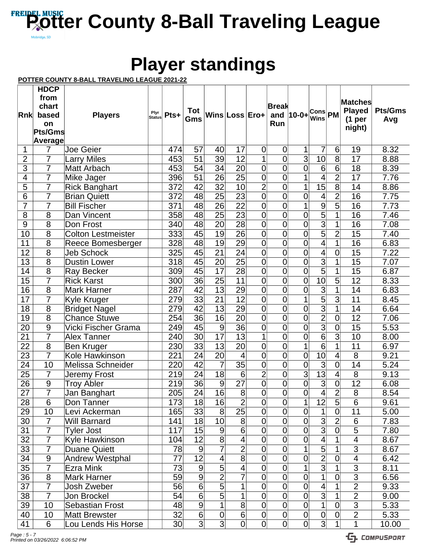## **Player standings**

### **POTTER COUNTY 8-BALL TRAVELING LEAGUE 2021-22**

|                       | <b>HDCP</b><br>from<br>chart     |                                        |                |                 |                       |                       |                       |                                  | <b>Break</b>        |                                  |                                  |                     | Matches                       |                |
|-----------------------|----------------------------------|----------------------------------------|----------------|-----------------|-----------------------|-----------------------|-----------------------|----------------------------------|---------------------|----------------------------------|----------------------------------|---------------------|-------------------------------|----------------|
| Rnk                   | based                            | <b>Players</b>                         | Plyr<br>Status | Pts+            | Tot<br>Gms            |                       | Wins Loss Ero+        |                                  |                     | and   10-0+                      | <b>Cons</b> PM<br><b>Wins</b>    |                     | <b>Played</b>                 | <b>Pts/Gms</b> |
|                       | on                               |                                        |                |                 |                       |                       |                       |                                  | Run                 |                                  |                                  |                     | (1 <sub>per</sub> )<br>night) | Avg            |
|                       | Pts/Gms                          |                                        |                |                 |                       |                       |                       |                                  |                     |                                  |                                  |                     |                               |                |
|                       | Average                          |                                        |                |                 |                       |                       |                       |                                  |                     |                                  |                                  |                     |                               |                |
| 1                     | 7                                | <b>Joe Geier</b>                       |                | 474             | 57                    | 40                    | 17                    | $\mathbf 0$                      | 0                   | 1                                | 7                                | 6                   | 19                            | 8.32           |
| $\overline{2}$        | 7                                | <b>Larry Miles</b>                     |                | 453             | 51                    | 39                    | 12                    | 1                                | $\overline{0}$      | $\overline{3}$                   | 10                               | $\overline{8}$      | 17                            | 8.88           |
| $\overline{3}$        | $\overline{7}$                   | Matt Arbach                            |                | 453             | 54                    | $\overline{34}$       | 20                    | $\overline{0}$                   | $\overline{0}$      | $\overline{0}$                   | $\overline{6}$                   | 6                   | 18                            | 8.39           |
| $\overline{4}$        | 7                                | Mike Jager                             |                | 396             | 51                    | $\overline{26}$       | $\overline{25}$       | 0                                | 0                   | 1                                | 4                                | $\overline{2}$      | 17                            | 7.76           |
| 5                     | 7<br>$\overline{7}$              | <b>Rick Banghart</b>                   |                | 372             | 42                    | $\overline{32}$       | 10                    | $\overline{2}$                   | $\overline{0}$      | 1                                | 15                               | $\overline{8}$      | 14                            | 8.86           |
| 6                     |                                  | <b>Brian Quiett</b>                    |                | 372             | 48                    | $\overline{25}$       | $\overline{23}$       | $\overline{0}$                   | $\overline{0}$      | $\overline{0}$                   | 4                                | $\overline{2}$      | $\overline{16}$               | 7.75           |
| $\overline{7}$        | 7                                | <b>Bill Fischer</b>                    |                | 371             | 48                    | 26                    | $\overline{22}$       | $\overline{0}$                   | $\overline{0}$      | $\overline{1}$                   | $\overline{9}$                   | $\overline{5}$      | 16                            | 7.73           |
| $\overline{8}$        | 8                                | Dan Vincent                            |                | 358             | 48                    | $\overline{25}$       | $\overline{23}$       | 0                                | $\overline{0}$      | $\overline{0}$                   | $\overline{5}$                   | 1                   | 16                            | 7.46           |
| $\overline{9}$        | $\overline{8}$<br>$\overline{8}$ | Don Frost                              |                | 340             | 48                    | 20                    | $\overline{28}$       | $\overline{0}$<br>$\overline{0}$ | $\overline{0}$      | $\overline{0}$<br>$\overline{0}$ | $\overline{3}$<br>$\overline{5}$ | 1<br>$\overline{2}$ | 16                            | 7.08           |
| $\overline{10}$<br>11 | 8                                | <b>Colton Lestmeister</b>              |                | 333<br>328      | $\overline{45}$<br>48 | $\overline{19}$<br>19 | $\overline{26}$<br>29 | 0                                | $\overline{0}$<br>0 | $\overline{0}$                   | 4                                | $\overline{1}$      | 15<br>16                      | 7.40           |
|                       | $\overline{8}$                   | Reece Bomesberger                      |                |                 |                       | $\overline{21}$       |                       | 0                                | $\overline{0}$      | $\overline{0}$                   | $\overline{4}$                   |                     |                               | 6.83           |
| $\overline{12}$       | $\overline{8}$                   | <b>Jeb Schock</b>                      |                | 325             | 45                    |                       | 24                    |                                  |                     |                                  | $\overline{3}$                   | $\overline{0}$      | 15                            | 7.22           |
| $\overline{13}$<br>14 | $\overline{8}$                   | <b>Dustin Lower</b>                    |                | 318<br>309      | 45<br>45              | 20<br>$\overline{17}$ | 25<br>$\overline{28}$ | 0<br>$\overline{0}$              | 0<br>$\overline{0}$ | $\overline{0}$<br>$\overline{0}$ | $\overline{5}$                   | 1<br>$\overline{1}$ | 15<br>$\overline{15}$         | 7.07<br>6.87   |
| $\overline{15}$       | 7                                | <b>Ray Becker</b><br><b>Rick Karst</b> |                | 300             | 36                    | $\overline{25}$       | $\overline{11}$       | 0                                | 0                   | $\overline{0}$                   | $\overline{10}$                  | $\overline{5}$      | 12                            | 8.33           |
| 16                    | 8                                | <b>Mark Harner</b>                     |                | 287             | 42                    | 13                    | 29                    | 0                                | $\overline{0}$      | $\overline{0}$                   | $\overline{3}$                   | 1                   | 14                            | 6.83           |
| 17                    | 7                                |                                        |                | 279             | 33                    | $\overline{21}$       | 12                    | 0                                | 0                   | 1                                | $\overline{5}$                   | $\overline{3}$      | 11                            | 8.45           |
| $\overline{18}$       | $\overline{8}$                   | Kyle Kruger<br><b>Bridget Nagel</b>    |                | 279             | $\overline{42}$       | $\overline{13}$       | $\overline{29}$       | $\overline{0}$                   | $\overline{0}$      | $\overline{0}$                   | $\overline{3}$                   | $\overline{1}$      | 14                            | 6.64           |
| $\overline{19}$       | 8                                | <b>Chance Stuwe</b>                    |                | 254             | $\overline{36}$       | $\overline{16}$       | 20                    | $\overline{0}$                   | 0                   | $\overline{0}$                   | $\overline{2}$                   | $\overline{0}$      | 12                            | 7.06           |
| $\overline{20}$       | 9                                | Vicki Fischer Grama                    |                | 249             | 45                    | 9                     | $\overline{36}$       | $\overline{0}$                   | $\overline{0}$      | $\overline{0}$                   | $\overline{3}$                   | 0                   | 15                            | 5.53           |
| 21                    | $\overline{7}$                   | <b>Alex Tanner</b>                     |                | 240             | 30                    | $\overline{17}$       | 13                    | 1                                | 0                   | $\overline{0}$                   | $\overline{6}$                   | $\overline{3}$      | 10                            | 8.00           |
| $\overline{22}$       | $\overline{8}$                   | Ben Kruger                             |                | 230             | $\overline{33}$       | $\overline{13}$       | $\overline{20}$       | 0                                | $\overline{0}$      | 1                                | $\overline{6}$                   | 1                   | 11                            | 6.97           |
| $\overline{23}$       | $\overline{7}$                   | Kole Hawkinson                         |                | 221             | 24                    | 20                    | 4                     | $\overline{0}$                   | $\overline{0}$      | $\overline{0}$                   | $\overline{10}$                  | 4                   | $\overline{8}$                | 9.21           |
| $\overline{24}$       | 10                               | <b>Melissa Schneider</b>               |                | 220             | 42                    | 7                     | 35                    | $\mathbf 0$                      | 0                   | $\overline{0}$                   | $\overline{3}$                   | 0                   | 14                            | 5.24           |
| $\overline{25}$       | $\overline{7}$                   | Jeremy Frost                           |                | 219             | 24                    | 18                    | 6                     | $\overline{2}$                   | 0                   | $\overline{3}$                   | $\overline{13}$                  | 4                   | $\overline{8}$                | 9.13           |
| $\overline{26}$       | $\overline{9}$                   | <b>Troy Abler</b>                      |                | 219             | $\overline{36}$       | 9                     | $\overline{27}$       | 0                                | 0                   | $\overline{0}$                   | $\overline{3}$                   | $\overline{0}$      | $\overline{12}$               | 6.08           |
| $\overline{27}$       | $\overline{7}$                   | Jan Banghart                           |                | 205             | $\overline{24}$       | $\overline{16}$       | $\overline{8}$        | 0                                | $\overline{0}$      | $\overline{0}$                   | $\overline{4}$                   | $\overline{2}$      | 8                             | 8.54           |
| 28                    | 6                                | Don Tanner                             |                | 173             | 18                    | 16                    | $\overline{2}$        | $\overline{0}$                   | 0                   | 1                                | 12                               | 5                   | 6                             | 9.61           |
| 29                    | 10                               | Levi Ackerman                          |                | 165             | 33                    | 8                     | $\overline{25}$       | $\overline{0}$                   | 0                   | $\overline{0}$                   | $\overline{1}$                   | $\overline{0}$      | 11                            | 5.00           |
| 30                    | $\overline{7}$                   | <b>Will Barnard</b>                    |                | 141             | 18                    | 10                    | 8                     | $\overline{0}$                   | $\overline{0}$      | $\overline{0}$                   | $\overline{3}$                   | $\overline{2}$      | 6                             | 7.83           |
| 31                    | $\overline{7}$                   | <b>Tyler Jost</b>                      |                | 117             | 15                    | $9$                   | $\overline{6}$        | $\overline{0}$                   | $\overline{0}$      | $\overline{0}$                   | $\overline{3}$                   | $\overline{0}$      | $\overline{5}$                | 7.80           |
| 32                    | $\overline{7}$                   | Kyle Hawkinson                         |                | 104             | 12                    | $\overline{8}$        | 4                     | $\overline{0}$                   | $\overline{0}$      | 0                                | $\overline{4}$                   | 1                   | 4                             | 8.67           |
| 33                    | $\overline{7}$                   | <b>Duane Quiett</b>                    |                | 78              | $\boldsymbol{9}$      | 7                     | $\overline{2}$        | $\overline{0}$                   | $\overline{0}$      | 1                                | $\overline{5}$                   |                     | 3                             | 8.67           |
| 34                    | $\boldsymbol{9}$                 | Andrew Westphal                        |                | 77              | $\overline{12}$       | 4                     | $\overline{8}$        | 0                                | $\overline{0}$      | 0                                | $\overline{2}$                   | 0                   | $\overline{\mathcal{A}}$      | 6.42           |
| 35                    | $\overline{7}$                   | Ezra Mink                              |                | 73              | 9                     | $\overline{5}$        | 4                     | $\overline{0}$                   | $\overline{0}$      | 1                                | $\overline{3}$                   | 1                   | $\overline{3}$                | 8.11           |
| 36                    | 8                                | <b>Mark Harner</b>                     |                | 59              | $\overline{9}$        | $\overline{2}$        | $\overline{7}$        | $\overline{0}$                   | $\overline{0}$      | $\overline{0}$                   | $\mathbf 1$                      | 0                   | $\overline{3}$                | 6.56           |
| 37                    | $\overline{7}$                   | Josh Zweber                            |                | 56              | 6                     | $\overline{5}$        | 1                     | $\overline{0}$                   | $\overline{0}$      | $\overline{0}$                   | $\overline{4}$                   | 1                   | $\overline{2}$                | 9.33           |
| 38                    | $\overline{7}$                   | Jon Brockel                            |                | 54              | 6                     | $\overline{5}$        | 1                     | $\overline{0}$                   | $\overline{0}$      | $\overline{0}$                   | $\overline{3}$                   |                     | $\overline{2}$                | 9.00           |
| 39                    | 10                               | <b>Sebastian Frost</b>                 |                | 48              | 9                     | 1                     | $\overline{\infty}$   | $\overline{0}$                   | 0                   | $\overline{0}$                   | $\overline{1}$                   | $\overline{0}$      | $\overline{3}$                | 5.33           |
| 40                    | 10                               | <b>Matt Brewster</b>                   |                | 32              | $\overline{6}$        | $\overline{0}$        | $\overline{6}$        | $\overline{0}$                   | $\mathbf 0$         | $\overline{0}$                   | $\overline{0}$                   | 0                   | $\overline{2}$                | 5.33           |
| 41                    | 6                                | Lou Lends His Horse                    |                | 30 <sub>l</sub> | $\overline{3}$        | $\overline{3}$        | 0                     | $\overline{0}$                   | 0                   | $\overline{0}$                   | $\overline{3}$                   | 1                   | 1                             | 10.00          |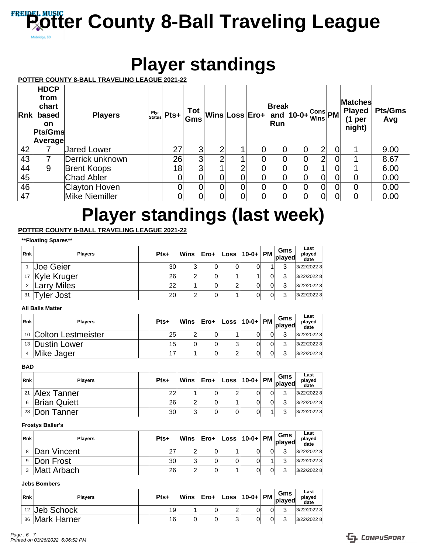## **Player standings**

### **POTTER COUNTY 8-BALL TRAVELING LEAGUE 2021-22**

| Rnk | <b>HDCP</b><br>from<br>chart<br>based<br><b>on</b><br>Pts/Gms<br>Average | <b>Players</b>        | Plyr<br>Status | $Pts+$ | Tot<br>Gms |   | Wins Loss Error | <b>Break</b><br>Run | and $10-0+$ $\frac{Cons}{Wins}$ PM |                | Matches<br><b>Played</b><br>(1 <sub>per</sub> )<br>night) | <b>Pts/Gms</b><br>Avg |
|-----|--------------------------------------------------------------------------|-----------------------|----------------|--------|------------|---|-----------------|---------------------|------------------------------------|----------------|-----------------------------------------------------------|-----------------------|
| 42  |                                                                          | <b>Jared Lower</b>    |                | 27     | 3          |   |                 |                     |                                    | 2              |                                                           | 9.00                  |
| 43  |                                                                          | Derrick unknown       |                | 26     | 3          | ⌒ |                 |                     |                                    | $\overline{2}$ |                                                           | 8.67                  |
| 44  | 9                                                                        | <b>Brent Koops</b>    |                | 18     | 3          |   | ⌒               |                     |                                    |                |                                                           | 6.00                  |
| 45  |                                                                          | <b>Chad Abler</b>     |                |        |            |   |                 |                     |                                    | $\overline{0}$ |                                                           | 0.00                  |
| 46  |                                                                          | <b>Clayton Hoven</b>  |                |        |            |   |                 |                     |                                    | $\overline{0}$ | 0                                                         | 0.00                  |
| 47  |                                                                          | <b>Mike Niemiller</b> |                |        |            |   |                 |                     |                                    | $\overline{0}$ |                                                           | 0.00                  |

## **Player standings (last week)**

### **POTTER COUNTY 8-BALL TRAVELING LEAGUE 2021-22**

### **\*\*Floating Spares\*\***

| Rnk            | <b>Players</b>         | Pts+ | Wins | ∽ ⊢ Ero+ │ Loss │10-0+ │PM │ المسلم |  |   | Last<br>played<br>date |
|----------------|------------------------|------|------|-------------------------------------|--|---|------------------------|
|                | Joe Geier              | 30   | 3    |                                     |  | ົ | 3/22/2022 8            |
|                | 17 Kyle Kruger         | 26   | ⌒    |                                     |  | ◠ | 3/22/2022 8            |
| $\overline{2}$ | <b>Larry Miles</b>     | 22   |      | 2                                   |  | ີ | 3/22/2022 8            |
| 31             | vler Jost <sup>-</sup> | 20   | 2    |                                     |  | ົ | 3/22/2022 8            |

### **All Balls Matter**

| <b>Rnk</b> | <b>Plavers</b>         | Pts+ |   |   | ∣ Wins $\overline{\phantom{x}}$ Ero+ $\overline{\phantom{x}}$ Loss $\overline{\phantom{x}}$ 10-0+ $\overline{\phantom{x}}$ PM $\overline{\phantom{x}}$ plus $\overline{\phantom{x}}$ plus |  | Last<br>played<br>date |
|------------|------------------------|------|---|---|-------------------------------------------------------------------------------------------------------------------------------------------------------------------------------------------|--|------------------------|
|            | 10 Colton Lestmeister  | 25   | 2 |   |                                                                                                                                                                                           |  | 3/22/2022 8            |
|            | <b>13 Dustin Lower</b> | 15   | 0 | 3 |                                                                                                                                                                                           |  | 3/22/2022 8            |
| 4          | Mike Jager             |      |   |   |                                                                                                                                                                                           |  | 3/22/2022 8            |

### **BAD**

| Rnk | <b>Plavers</b>           | Pts+ |   |  |   |   | Last<br>played<br>date |
|-----|--------------------------|------|---|--|---|---|------------------------|
| 21  | Alex Tanner              | 22   |   |  | 0 | ◠ | 3/22/2022 8            |
| 6   | <b>Brian Quiett</b>      | 26   |   |  | 0 |   | 3/22/2022 8            |
|     | <sup>28</sup> Don Tanner | 30   | 3 |  |   |   | 3/22/2022 8            |

### **Frostys Baller's**

| Rnk | <b>Plavers</b> | Pts+ |   | Mins ∣ Ero+ | $\therefore$ Loss   10-0+   PM   played | Gms | Last<br>played<br>date |
|-----|----------------|------|---|-------------|-----------------------------------------|-----|------------------------|
|     | Dan Vincent    | 27   |   |             |                                         |     | 3/22/2022 8            |
| 9   | Don Frost      | 30   | 3 |             |                                         |     | 3/22/2022 8            |
|     | Matt Arbach    | 26   | 2 |             |                                         |     | 3/22/2022 8            |

### **Jebs Bombers**

| Rnk | <b>Players</b> | Pts+ |   | $\blacksquare$ Wins $\blacksquare$ Ero+ $\blacksquare'$ | $\vert$ Loss $\vert$ 10-0+ $\vert$ PM $\vert$ $\vert$ $\vert$ Dlayed |   | Gms | Last<br>plaved<br>date |
|-----|----------------|------|---|---------------------------------------------------------|----------------------------------------------------------------------|---|-----|------------------------|
|     | 12 Jeb Schock  | 19   |   |                                                         | ⌒                                                                    | 0 | ⌒   | 3/22/2022 8            |
|     | 36 Mark Harner | 16   | υ |                                                         | ⌒<br>J                                                               | 0 |     | 3/22/2022 8            |